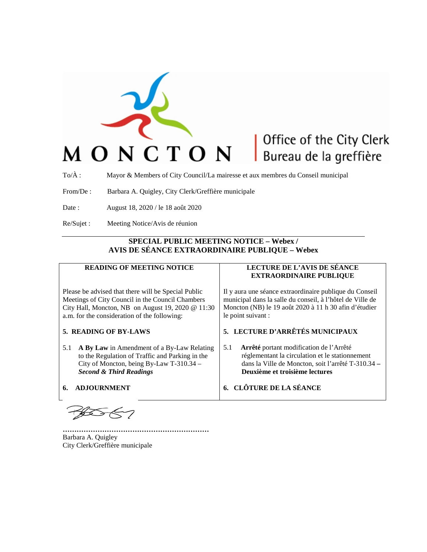

# Office of the City Clerk<br>Bureau de la greffière

To/À : Mayor & Members of City Council/La mairesse et aux membres du Conseil municipal

From/De : Barbara A. Quigley, City Clerk/Greffière municipale

Date : August 18, 2020 / le 18 août 2020

Re/Sujet : Meeting Notice/Avis de réunion

#### **SPECIAL PUBLIC MEETING NOTICE – Webex / AVIS DE SÉANCE EXTRAORDINAIRE PUBLIQUE – Webex**

#### **READING OF MEETING NOTICE**

Please be advised that there will be Special Public Meetings of City Council in the Council Chambers City Hall, Moncton, NB on August 19, 2020 @ 11:30 a.m. for the consideration of the following:

#### **5. READING OF BY-LAWS**

5.1 **A By Law** in Amendment of a By-Law Relating to the Regulation of Traffic and Parking in the City of Moncton, being By-Law T-310.34 – *Second & Third Readings*

**6. ADJOURNMENT**

**………………………………………………………** Barbara A. Quigley City Clerk/Greffière municipale

#### **LECTURE DE L'AVIS DE SÉANCE EXTRAORDINAIRE PUBLIQUE**

Il y aura une séance extraordinaire publique du Conseil municipal dans la salle du conseil, à l'hôtel de Ville de Moncton (NB) le 19 août 2020 à 11 h 30 afin d'étudier le point suivant :

### **5. LECTURE D'ARRÊTÉS MUNICIPAUX**

- 5.1 **Arrêté** portant modification de l'Arrêté réglementant la circulation et le stationnement dans la Ville de Moncton, soit l'arrêté T-310.34 **– Deuxième et troisième lectures**
- **6. CLÔTURE DE LA SÉANCE**